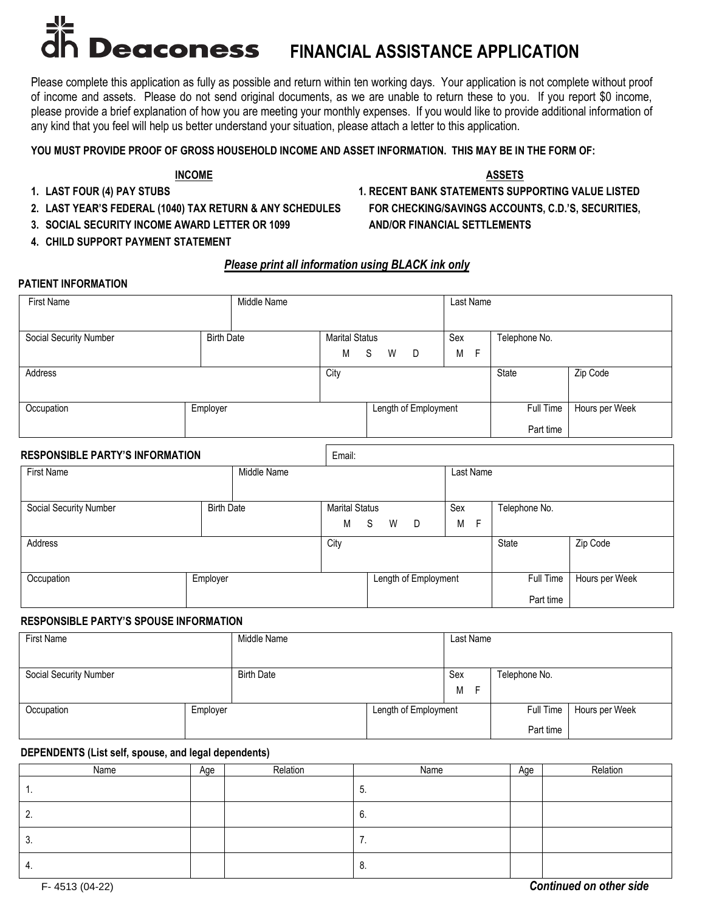# **Deaconess FINANCIAL ASSISTANCE APPLICATION**

Please complete this application as fully as possible and return within ten working days. Your application is not complete without proof of income and assets. Please do not send original documents, as we are unable to return these to you. If you report \$0 income, please provide a brief explanation of how you are meeting your monthly expenses. If you would like to provide additional information of any kind that you feel will help us better understand your situation, please attach a letter to this application.

# **YOU MUST PROVIDE PROOF OF GROSS HOUSEHOLD INCOME AND ASSET INFORMATION. THIS MAY BE IN THE FORM OF:**

#### **INCOME ASSETS**

- 
- **2. LAST YEAR'S FEDERAL (1040) TAX RETURN & ANY SCHEDULES FOR CHECKING/SAVINGS ACCOUNTS, C.D.'S, SECURITIES,**
- **3. SOCIAL SECURITY INCOME AWARD LETTER OR 1099 AND/OR FINANCIAL SETTLEMENTS**
- **4. CHILD SUPPORT PAYMENT STATEMENT**

## *Please print all information using BLACK ink only*

#### **PATIENT INFORMATION**

| <b>First Name</b>      |                   | Middle Name |                       |   |   |                      |     | Last Name |               |                |
|------------------------|-------------------|-------------|-----------------------|---|---|----------------------|-----|-----------|---------------|----------------|
|                        |                   |             |                       |   |   |                      |     |           |               |                |
| Social Security Number | <b>Birth Date</b> |             | <b>Marital Status</b> |   |   |                      | Sex |           | Telephone No. |                |
|                        |                   |             | М                     | S | W | D D                  | M   | F         |               |                |
| Address                |                   |             | City                  |   |   |                      |     |           | State         | Zip Code       |
|                        |                   |             |                       |   |   |                      |     |           |               |                |
| Occupation             | Employer          |             |                       |   |   | Length of Employment |     |           | Full Time     | Hours per Week |
|                        |                   |             |                       |   |   |                      |     |           | Part time     |                |

# **RESPONSIBLE PARTY'S INFORMATION Email:**

| First Name             |                   | Middle Name |                            |   |   |                      |          | Last Name |                        |                |
|------------------------|-------------------|-------------|----------------------------|---|---|----------------------|----------|-----------|------------------------|----------------|
| Social Security Number | <b>Birth Date</b> |             | <b>Marital Status</b><br>М | S | W | D                    | Sex<br>М | -F        | Telephone No.          |                |
| Address                |                   |             | City                       |   |   |                      |          |           | State                  | Zip Code       |
| Occupation             | Employer          |             |                            |   |   | Length of Employment |          |           | Full Time<br>Part time | Hours per Week |

## **RESPONSIBLE PARTY'S SPOUSE INFORMATION**

| First Name             |          | Middle Name       |                      | Last Name |               |                |
|------------------------|----------|-------------------|----------------------|-----------|---------------|----------------|
|                        |          |                   |                      |           |               |                |
| Social Security Number |          | <b>Birth Date</b> |                      | Sex       | Telephone No. |                |
|                        |          |                   |                      | M         |               |                |
| Occupation             | Employer |                   | Length of Employment |           | Full Time     | Hours per Week |
|                        |          |                   |                      |           | Part time     |                |

## **DEPENDENTS (List self, spouse, and legal dependents)**

| Name | Age | Relation | Name | Age | Relation |
|------|-----|----------|------|-----|----------|
| . .  |     |          | b.   |     |          |
| 2.   |     |          | b.   |     |          |
| 3.   |     |          | . .  |     |          |
| 4.   |     |          | Ō.   |     |          |

F- 4513 (04-22) *Continued on other side*

- 
- **1. LAST FOUR (4) PAY STUBS 1. RECENT BANK STATEMENTS SUPPORTING VALUE LISTED**